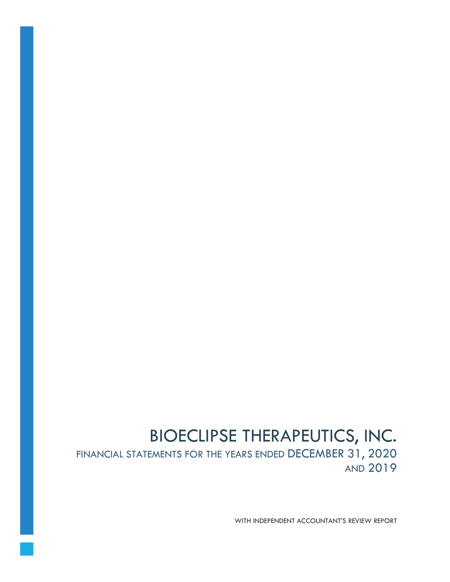# BIOECLIPSE THERAPEUTICS, INC. FINANCIAL STATEMENTS FOR THE YEARS ENDED DECEMBER 31, 2020 AND 2019

WITH INDEPENDENT ACCOUNTANT'S REVIEW REPORT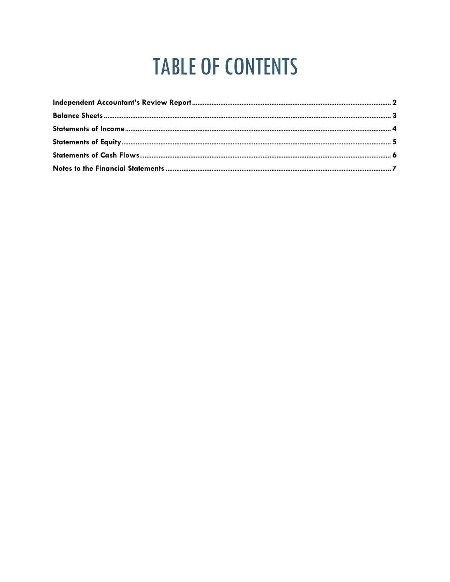# **TABLE OF CONTENTS**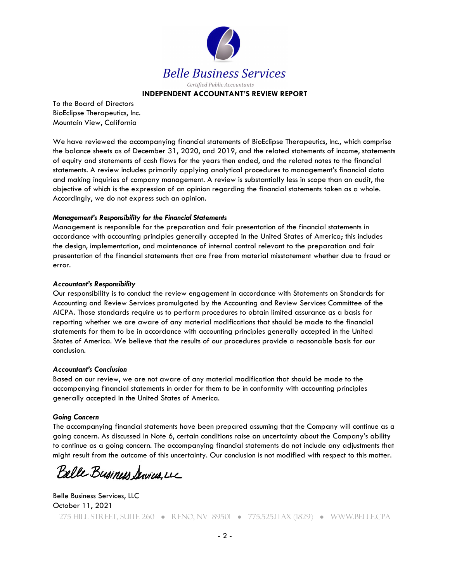

#### **INDEPENDENT ACCOUNTANT'S REVIEW REPORT**

To the Board of Directors BioEclipse Therapeutics, Inc. Mountain View, California

We have reviewed the accompanying financial statements of BioEclipse Therapeutics, Inc., which comprise the balance sheets as of December 31, 2020, and 2019, and the related statements of income, statements of equity and statements of cash flows for the years then ended, and the related notes to the financial statements. A review includes primarily applying analytical procedures to management's financial data and making inquiries of company management. A review is substantially less in scope than an audit, the objective of which is the expression of an opinion regarding the financial statements taken as a whole. Accordingly, we do not express such an opinion.

#### *Management's Responsibility for the Financial Statements*

Management is responsible for the preparation and fair presentation of the financial statements in accordance with accounting principles generally accepted in the United States of America; this includes the design, implementation, and maintenance of internal control relevant to the preparation and fair presentation of the financial statements that are free from material misstatement whether due to fraud or error.

#### *Accountant's Responsibility*

Our responsibility is to conduct the review engagement in accordance with Statements on Standards for Accounting and Review Services promulgated by the Accounting and Review Services Committee of the AICPA. Those standards require us to perform procedures to obtain limited assurance as a basis for reporting whether we are aware of any material modifications that should be made to the financial statements for them to be in accordance with accounting principles generally accepted in the United States of America. We believe that the results of our procedures provide a reasonable basis for our conclusion.

#### *Accountant's Conclusion*

Based on our review, we are not aware of any material modification that should be made to the accompanying financial statements in order for them to be in conformity with accounting principles generally accepted in the United States of America.

#### *Going Concern*

The accompanying financial statements have been prepared assuming that the Company will continue as a going concern. As discussed in Note 6, certain conditions raise an uncertainty about the Company's ability to continue as a going concern. The accompanying financial statements do not include any adjustments that might result from the outcome of this uncertainty. Our conclusion is not modified with respect to this matter.

Belle Business Services, LL

275 Hill Street, Suite 260 ● Reno, NV 89501 ● 775.525.1TAX (1829) ● WWW.BELLE.CPA Belle Business Services, LLC October 11, 2021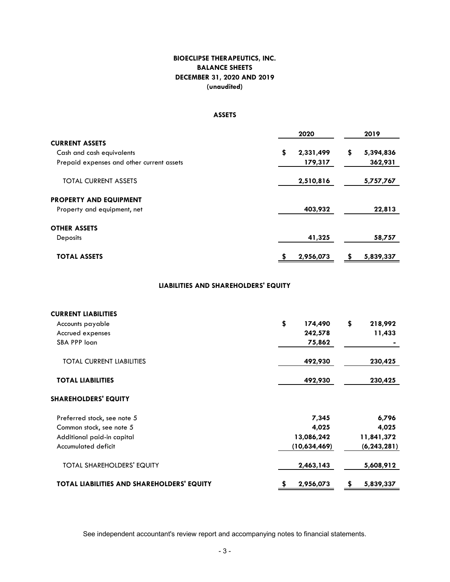# **DECEMBER 31, 2020 AND 2019 BALANCE SHEETS BIOECLIPSE THERAPEUTICS, INC. (unaudited)**

# **ASSETS**

|                                           | 2020            | 2019            |
|-------------------------------------------|-----------------|-----------------|
| <b>CURRENT ASSETS</b>                     |                 |                 |
| Cash and cash equivalents                 | \$<br>2,331,499 | \$<br>5,394,836 |
| Prepaid expenses and other current assets | 179,317         | 362,931         |
| <b>TOTAL CURRENT ASSETS</b>               | 2,510,816       | 5,757,767       |
| <b>PROPERTY AND EQUIPMENT</b>             |                 |                 |
| Property and equipment, net               | 403,932         | 22,813          |
| <b>OTHER ASSETS</b>                       |                 |                 |
| <b>Deposits</b>                           | 41,325          | 58,757          |
| <b>TOTAL ASSETS</b>                       | 2,956,073       | 5,839,337       |

#### **LIABILITIES AND SHAREHOLDERS' EQUITY**

| <b>CURRENT LIABILITIES</b>                        |               |               |
|---------------------------------------------------|---------------|---------------|
| Accounts payable                                  | \$<br>174,490 | \$<br>218,992 |
| Accrued expenses                                  | 242,578       | 11,433        |
| SBA PPP loan                                      | 75,862        |               |
| <b>TOTAL CURRENT LIABILITIES</b>                  | 492,930       | 230,425       |
| <b>TOTAL LIABILITIES</b>                          | 492,930       | 230,425       |
| <b>SHAREHOLDERS' EQUITY</b>                       |               |               |
| Preferred stock, see note 5                       | 7,345         | 6,796         |
| Common stock, see note 5                          | 4,025         | 4,025         |
| Additional paid-in capital                        | 13,086,242    | 11,841,372    |
| Accumulated deficit                               | (10,634,469)  | (6, 243, 281) |
| <b>TOTAL SHAREHOLDERS' EQUITY</b>                 | 2,463,143     | 5,608,912     |
| <b>TOTAL LIABILITIES AND SHAREHOLDERS' EQUITY</b> | 2,956,073     | 5,839,337     |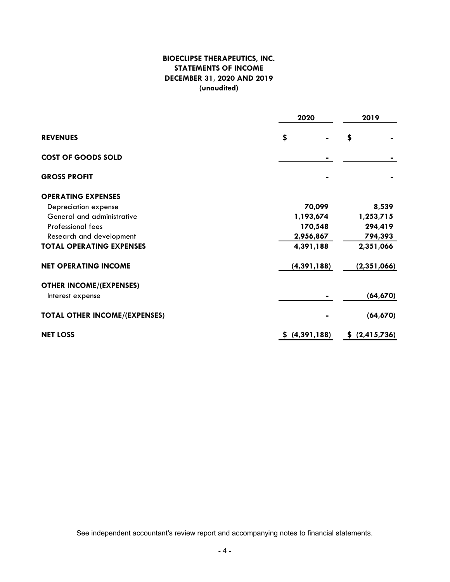# **BIOECLIPSE THERAPEUTICS, INC. STATEMENTS OF INCOME DECEMBER 31, 2020 AND 2019 (unaudited)**

|                                      | 2020          | 2019                |  |  |  |  |
|--------------------------------------|---------------|---------------------|--|--|--|--|
| <b>REVENUES</b>                      | \$            | \$                  |  |  |  |  |
| <b>COST OF GOODS SOLD</b>            |               |                     |  |  |  |  |
| <b>GROSS PROFIT</b>                  |               |                     |  |  |  |  |
| <b>OPERATING EXPENSES</b>            |               |                     |  |  |  |  |
| Depreciation expense                 | 70,099        | 8,539               |  |  |  |  |
| General and administrative           | 1,193,674     | 1,253,715           |  |  |  |  |
| <b>Professional fees</b>             | 170,548       | 294,419             |  |  |  |  |
| Research and development             | 2,956,867     | 794,393             |  |  |  |  |
| <b>TOTAL OPERATING EXPENSES</b>      | 4,391,188     | 2,351,066           |  |  |  |  |
| <b>NET OPERATING INCOME</b>          | (4, 391, 188) | (2,351,066)         |  |  |  |  |
| <b>OTHER INCOME/(EXPENSES)</b>       |               |                     |  |  |  |  |
| Interest expense                     |               | (64, 670)           |  |  |  |  |
| <b>TOTAL OTHER INCOME/(EXPENSES)</b> |               | (64, 670)           |  |  |  |  |
| <b>NET LOSS</b>                      | (4, 391, 188) | (2, 415, 736)<br>S. |  |  |  |  |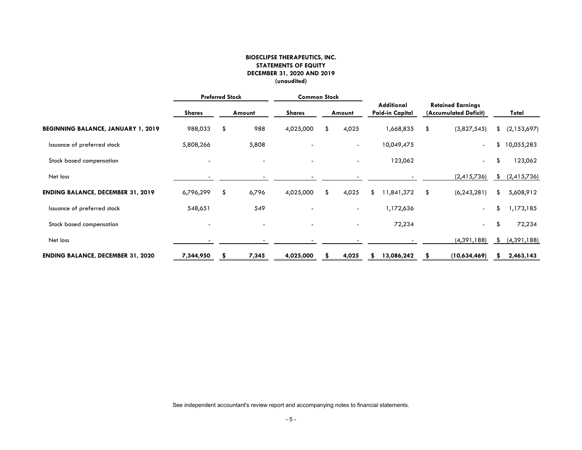#### **BIOECLIPSE THERAPEUTICS, INC. STATEMENTS OF EQUITY DECEMBER 31, 2020 AND 2019 (unaudited)**

|                                           |               | <b>Preferred Stock</b> |        | <b>Common Stock</b> |    |                          |                                             |                                                   |    |               |
|-------------------------------------------|---------------|------------------------|--------|---------------------|----|--------------------------|---------------------------------------------|---------------------------------------------------|----|---------------|
|                                           | <b>Shares</b> |                        | Amount | <b>Shares</b>       |    | Amount                   | <b>Additional</b><br><b>Paid-in Capital</b> | <b>Retained Earnings</b><br>(Accumulated Deficit) |    | Total         |
| <b>BEGINNING BALANCE, JANUARY 1, 2019</b> | 988,033       | \$                     | 988    | 4,025,000           | \$ | 4,025                    | 1,668,835                                   | \$<br>(3,827,545)                                 | S  | (2,153,697)   |
| Issuance of preferred stock               | 5,808,266     |                        | 5,808  |                     |    | $\blacksquare$           | 10,049,475                                  | $\overline{\phantom{a}}$                          | \$ | 10,055,283    |
| Stock based compensation                  |               |                        |        |                     |    |                          | 123,062                                     | $\overline{\phantom{a}}$                          | \$ | 123,062       |
| Net loss                                  |               |                        |        |                     |    |                          |                                             | (2,415,736)                                       | \$ | (2,415,736)   |
| <b>ENDING BALANCE, DECEMBER 31, 2019</b>  | 6,796,299     | \$                     | 6,796  | 4,025,000           | S. | 4,025                    | 1,841,372<br>S                              | \$<br>(6, 243, 281)                               | \$ | 5,608,912     |
| Issuance of preferred stock               | 548,651       |                        | 549    |                     |    | $\overline{\phantom{a}}$ | 1,172,636                                   | $\sim$                                            | \$ | 1,173,185     |
| Stock based compensation                  |               |                        |        |                     |    | $\overline{\phantom{a}}$ | 72,234                                      | $\sim$                                            | \$ | 72,234        |
| Net loss                                  |               |                        |        |                     |    |                          |                                             | (4,391,188)                                       | S. | (4, 391, 188) |
| <b>ENDING BALANCE, DECEMBER 31, 2020</b>  | 7,344,950     |                        | 7,345  | 4,025,000           |    | 4,025                    | 13,086,242                                  | (10,634,469)                                      |    | 2,463,143     |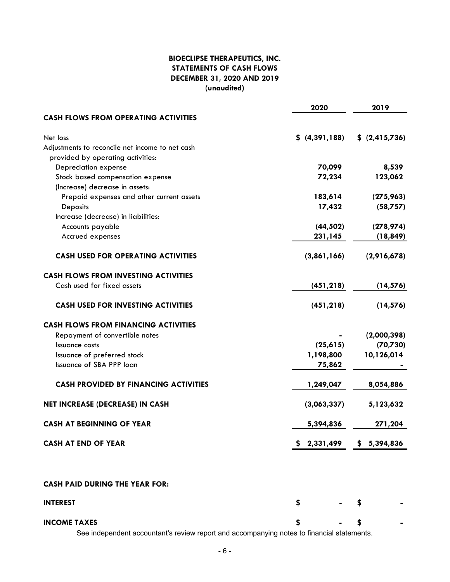# **BIOECLIPSE THERAPEUTICS, INC. STATEMENTS OF CASH FLOWS DECEMBER 31, 2020 AND 2019 (unaudited)**

|                                                 | 2020          | 2019             |
|-------------------------------------------------|---------------|------------------|
| <b>CASH FLOWS FROM OPERATING ACTIVITIES</b>     |               |                  |
| Net loss                                        | \$(4,391,188) | \$ (2, 415, 736) |
| Adjustments to reconcile net income to net cash |               |                  |
| provided by operating activities:               |               |                  |
| Depreciation expense                            | 70,099        | 8,539            |
| Stock based compensation expense                | 72,234        | 123,062          |
| (Increase) decrease in assets:                  |               |                  |
| Prepaid expenses and other current assets       | 183,614       | (275, 963)       |
| Deposits                                        | 17,432        | (58,757)         |
| Increase (decrease) in liabilities:             |               |                  |
| Accounts payable                                | (44, 502)     | (278, 974)       |
| Accrued expenses                                | 231,145       | (18, 849)        |
| <b>CASH USED FOR OPERATING ACTIVITIES</b>       | (3,861,166)   | (2,916,678)      |
| <b>CASH FLOWS FROM INVESTING ACTIVITIES</b>     |               |                  |
| Cash used for fixed assets                      | (451, 218)    | (14, 576)        |
| <b>CASH USED FOR INVESTING ACTIVITIES</b>       | (451, 218)    | (14, 576)        |
| <b>CASH FLOWS FROM FINANCING ACTIVITIES</b>     |               |                  |
| Repayment of convertible notes                  |               | (2,000,398)      |
| Issuance costs                                  | (25, 615)     | (70, 730)        |
| Issuance of preferred stock                     | 1,198,800     | 10,126,014       |
| Issuance of SBA PPP loan                        | 75,862        |                  |
| <b>CASH PROVIDED BY FINANCING ACTIVITIES</b>    | 1,249,047     | 8,054,886        |
| <b>NET INCREASE (DECREASE) IN CASH</b>          | (3,063,337)   | 5,123,632        |
| <b>CASH AT BEGINNING OF YEAR</b>                | 5,394,836     | 271,204          |
| <b>CASH AT END OF YEAR</b>                      | \$2,331,499   | 5,394,836<br>\$. |
|                                                 |               |                  |

# **CASH PAID DURING THE YEAR FOR:**

| <b>INTEREST</b>                             |               |               |  |     | ۰ | ж.     |
|---------------------------------------------|---------------|---------------|--|-----|---|--------|
| <b>INCOME TAXES</b><br>$\sim$ $\sim$ $\sim$ | $\sim$ $\sim$ | $\sim$ $\sim$ |  | . . | ۰ | $\sim$ |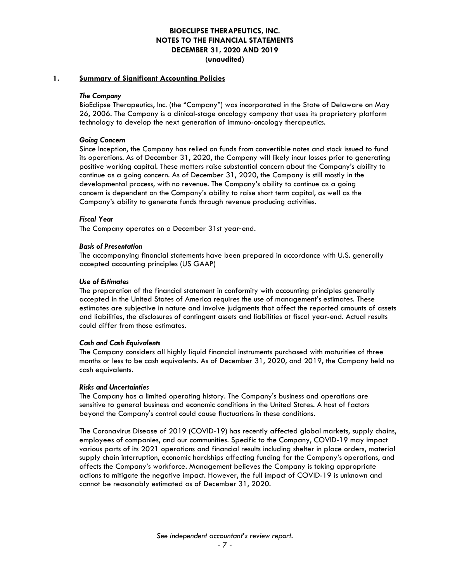#### **1. Summary of Significant Accounting Policies**

#### *The Company*

BioEclipse Therapeutics, Inc. (the "Company") was incorporated in the State of Delaware on May 26, 2006. The Company is a clinical-stage oncology company that uses its proprietary platform technology to develop the next generation of immuno-oncology therapeutics.

#### *Going Concern*

Since Inception, the Company has relied on funds from convertible notes and stock issued to fund its operations. As of December 31, 2020, the Company will likely incur losses prior to generating positive working capital. These matters raise substantial concern about the Company's ability to continue as a going concern. As of December 31, 2020, the Company is still mostly in the developmental process, with no revenue. The Company's ability to continue as a going concern is dependent on the Company's ability to raise short term capital, as well as the Company's ability to generate funds through revenue producing activities.

#### *Fiscal Year*

The Company operates on a December 31st year‐end.

#### *Basis of Presentation*

The accompanying financial statements have been prepared in accordance with U.S. generally accepted accounting principles (US GAAP)

#### *Use of Estimates*

The preparation of the financial statement in conformity with accounting principles generally accepted in the United States of America requires the use of management's estimates. These estimates are subjective in nature and involve judgments that affect the reported amounts of assets and liabilities, the disclosures of contingent assets and liabilities at fiscal year-end. Actual results could differ from those estimates.

#### *Cash and Cash Equivalents*

The Company considers all highly liquid financial instruments purchased with maturities of three months or less to be cash equivalents. As of December 31, 2020, and 2019, the Company held no cash equivalents.

#### *Risks and Uncertainties*

The Company has a limited operating history. The Company's business and operations are sensitive to general business and economic conditions in the United States. A host of factors beyond the Company's control could cause fluctuations in these conditions.

The Coronavirus Disease of 2019 (COVID-19) has recently affected global markets, supply chains, employees of companies, and our communities. Specific to the Company, COVID-19 may impact various parts of its 2021 operations and financial results including shelter in place orders, material supply chain interruption, economic hardships affecting funding for the Company's operations, and affects the Company's workforce. Management believes the Company is taking appropriate actions to mitigate the negative impact. However, the full impact of COVID-19 is unknown and cannot be reasonably estimated as of December 31, 2020.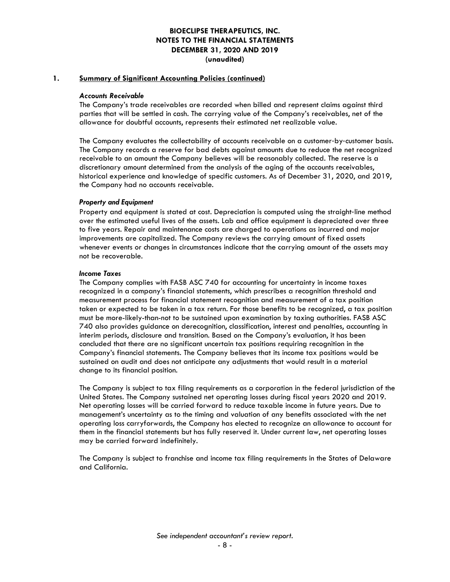#### **1. Summary of Significant Accounting Policies (continued)**

#### *Accounts Receivable*

The Company's trade receivables are recorded when billed and represent claims against third parties that will be settled in cash. The carrying value of the Company's receivables, net of the allowance for doubtful accounts, represents their estimated net realizable value.

The Company evaluates the collectability of accounts receivable on a customer‐by‐customer basis. The Company records a reserve for bad debts against amounts due to reduce the net recognized receivable to an amount the Company believes will be reasonably collected. The reserve is a discretionary amount determined from the analysis of the aging of the accounts receivables, historical experience and knowledge of specific customers. As of December 31, 2020, and 2019, the Company had no accounts receivable.

#### *Property and Equipment*

Property and equipment is stated at cost. Depreciation is computed using the straight‐line method over the estimated useful lives of the assets. Lab and office equipment is depreciated over three to five years. Repair and maintenance costs are charged to operations as incurred and major improvements are capitalized. The Company reviews the carrying amount of fixed assets whenever events or changes in circumstances indicate that the carrying amount of the assets may not be recoverable.

#### *Income Taxes*

The Company complies with FASB ASC 740 for accounting for uncertainty in income taxes recognized in a company's financial statements, which prescribes a recognition threshold and measurement process for financial statement recognition and measurement of a tax position taken or expected to be taken in a tax return. For those benefits to be recognized, a tax position must be more-likely-than-not to be sustained upon examination by taxing authorities. FASB ASC 740 also provides guidance on derecognition, classification, interest and penalties, accounting in interim periods, disclosure and transition. Based on the Company's evaluation, it has been concluded that there are no significant uncertain tax positions requiring recognition in the Company's financial statements. The Company believes that its income tax positions would be sustained on audit and does not anticipate any adjustments that would result in a material change to its financial position.

The Company is subject to tax filing requirements as a corporation in the federal jurisdiction of the United States. The Company sustained net operating losses during fiscal years 2020 and 2019. Net operating losses will be carried forward to reduce taxable income in future years. Due to management's uncertainty as to the timing and valuation of any benefits associated with the net operating loss carryforwards, the Company has elected to recognize an allowance to account for them in the financial statements but has fully reserved it. Under current law, net operating losses may be carried forward indefinitely.

The Company is subject to franchise and income tax filing requirements in the States of Delaware and California.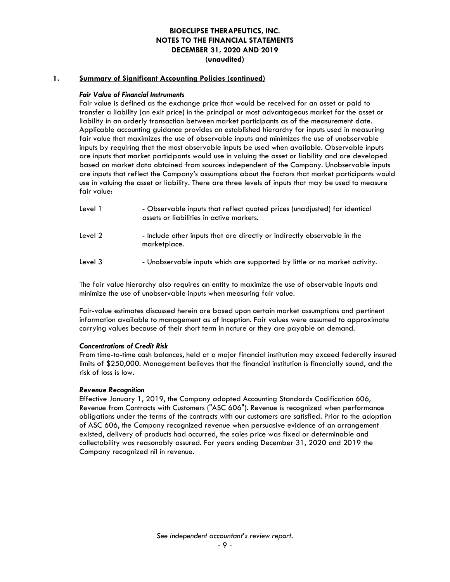#### **1. Summary of Significant Accounting Policies (continued)**

#### *Fair Value of Financial Instruments*

Fair value is defined as the exchange price that would be received for an asset or paid to transfer a liability (an exit price) in the principal or most advantageous market for the asset or liability in an orderly transaction between market participants as of the measurement date. Applicable accounting guidance provides an established hierarchy for inputs used in measuring fair value that maximizes the use of observable inputs and minimizes the use of unobservable inputs by requiring that the most observable inputs be used when available. Observable inputs are inputs that market participants would use in valuing the asset or liability and are developed based on market data obtained from sources independent of the Company. Unobservable inputs are inputs that reflect the Company's assumptions about the factors that market participants would use in valuing the asset or liability. There are three levels of inputs that may be used to measure fair value:

| Level 1 | - Observable inputs that reflect quoted prices (unadjusted) for identical<br>assets or liabilities in active markets. |
|---------|-----------------------------------------------------------------------------------------------------------------------|
| Level 2 | - Include other inputs that are directly or indirectly observable in the<br>marketplace.                              |
| Level 3 | - Unobservable inputs which are supported by little or no market activity.                                            |

The fair value hierarchy also requires an entity to maximize the use of observable inputs and minimize the use of unobservable inputs when measuring fair value.

Fair-value estimates discussed herein are based upon certain market assumptions and pertinent information available to management as of Inception. Fair values were assumed to approximate carrying values because of their short term in nature or they are payable on demand.

#### *Concentrations of Credit Risk*

From time-to-time cash balances, held at a major financial institution may exceed federally insured limits of \$250,000. Management believes that the financial institution is financially sound, and the risk of loss is low.

#### *Revenue Recognition*

Effective January 1, 2019, the Company adopted Accounting Standards Codification 606, Revenue from Contracts with Customers ("ASC 606"). Revenue is recognized when performance obligations under the terms of the contracts with our customers are satisfied. Prior to the adoption of ASC 606, the Company recognized revenue when persuasive evidence of an arrangement existed, delivery of products had occurred, the sales price was fixed or determinable and collectability was reasonably assured. For years ending December 31, 2020 and 2019 the Company recognized nil in revenue.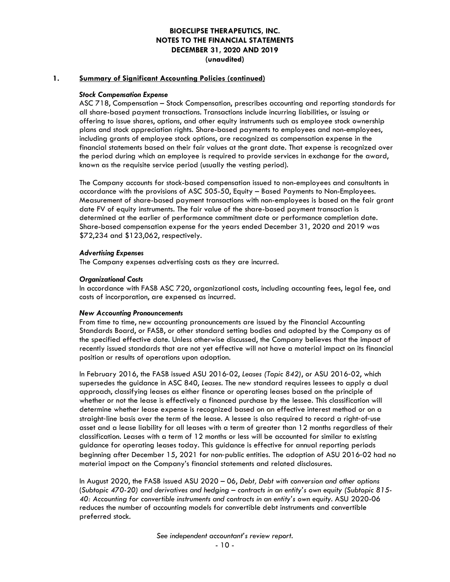#### **1. Summary of Significant Accounting Policies (continued)**

#### *Stock Compensation Expense*

ASC 718, Compensation – Stock Compensation, prescribes accounting and reporting standards for all share-based payment transactions. Transactions include incurring liabilities, or issuing or offering to issue shares, options, and other equity instruments such as employee stock ownership plans and stock appreciation rights. Share-based payments to employees and non-employees, including grants of employee stock options, are recognized as compensation expense in the financial statements based on their fair values at the grant date. That expense is recognized over the period during which an employee is required to provide services in exchange for the award, known as the requisite service period (usually the vesting period).

The Company accounts for stock-based compensation issued to non-employees and consultants in accordance with the provisions of ASC 505-50, Equity – Based Payments to Non-Employees. Measurement of share-based payment transactions with non-employees is based on the fair grant date FV of equity instruments. The fair value of the share-based payment transaction is determined at the earlier of performance commitment date or performance completion date. Share-based compensation expense for the years ended December 31, 2020 and 2019 was \$72,234 and \$123,062, respectively.

#### *Advertising Expenses*

The Company expenses advertising costs as they are incurred.

#### *Organizational Costs*

In accordance with FASB ASC 720, organizational costs, including accounting fees, legal fee, and costs of incorporation, are expensed as incurred.

#### *New Accounting Pronouncements*

From time to time, new accounting pronouncements are issued by the Financial Accounting Standards Board, or FASB, or other standard setting bodies and adopted by the Company as of the specified effective date. Unless otherwise discussed, the Company believes that the impact of recently issued standards that are not yet effective will not have a material impact on its financial position or results of operations upon adoption.

In February 2016, the FASB issued ASU 2016‐02, *Leases (Topic 842)*, or ASU 2016‐02, which supersedes the guidance in ASC 840, *Leases*. The new standard requires lessees to apply a dual approach, classifying leases as either finance or operating leases based on the principle of whether or not the lease is effectively a financed purchase by the lessee. This classification will determine whether lease expense is recognized based on an effective interest method or on a straight‐line basis over the term of the lease. A lessee is also required to record a right‐of‐use asset and a lease liability for all leases with a term of greater than 12 months regardless of their classification. Leases with a term of 12 months or less will be accounted for similar to existing guidance for operating leases today. This guidance is effective for annual reporting periods beginning after December 15, 2021 for non‐public entities. The adoption of ASU 2016‐02 had no material impact on the Company's financial statements and related disclosures.

In August 2020, the FASB issued ASU 2020 – 06, *Debt, Debt with conversion and other options* (*Subtopic 470-20) and derivatives and hedging – contracts in an entity's own equity (Subtopic 815- 40: Accounting for convertible instruments and contracts in an entity's own equity.* ASU 2020-06 reduces the number of accounting models for convertible debt instruments and convertible preferred stock.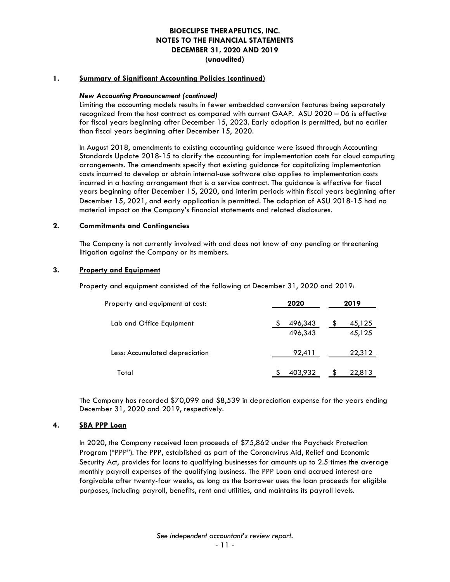#### **1. Summary of Significant Accounting Policies (continued)**

#### *New Accounting Pronouncement (continued)*

Limiting the accounting models results in fewer embedded conversion features being separately recognized from the host contract as compared with current GAAP. ASU 2020 – 06 is effective for fiscal years beginning after December 15, 2023. Early adoption is permitted, but no earlier than fiscal years beginning after December 15, 2020.

In August 2018, amendments to existing accounting guidance were issued through Accounting Standards Update 2018-15 to clarify the accounting for implementation costs for cloud computing arrangements. The amendments specify that existing guidance for capitalizing implementation costs incurred to develop or obtain internal-use software also applies to implementation costs incurred in a hosting arrangement that is a service contract. The guidance is effective for fiscal years beginning after December 15, 2020, and interim periods within fiscal years beginning after December 15, 2021, and early application is permitted. The adoption of ASU 2018‐15 had no material impact on the Company's financial statements and related disclosures.

#### **2. Commitments and Contingencies**

The Company is not currently involved with and does not know of any pending or threatening litigation against the Company or its members.

#### **3. Property and Equipment**

Property and equipment consisted of the following at December 31, 2020 and 2019:

| Property and equipment at cost: | 2020               | 2019             |  |
|---------------------------------|--------------------|------------------|--|
| Lab and Office Equipment        | 496,343<br>496,343 | 45,125<br>45,125 |  |
| Less: Accumulated depreciation  | 92,411             | 22,312           |  |
| Total                           | 403,932            | 22,813           |  |

The Company has recorded \$70,099 and \$8,539 in depreciation expense for the years ending December 31, 2020 and 2019, respectively.

#### **4. SBA PPP Loan**

In 2020, the Company received loan proceeds of \$75,862 under the Paycheck Protection Program ("PPP"). The PPP, established as part of the Coronavirus Aid, Relief and Economic Security Act, provides for loans to qualifying businesses for amounts up to 2.5 times the average monthly payroll expenses of the qualifying business. The PPP Loan and accrued interest are forgivable after twenty-four weeks, as long as the borrower uses the loan proceeds for eligible purposes, including payroll, benefits, rent and utilities, and maintains its payroll levels.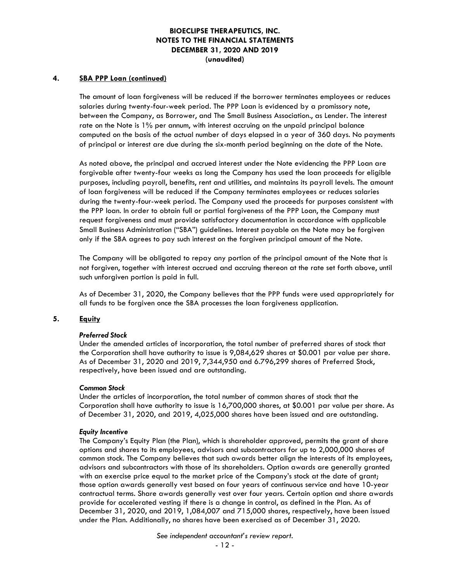#### **4. SBA PPP Loan (continued)**

The amount of loan forgiveness will be reduced if the borrower terminates employees or reduces salaries during twenty-four-week period. The PPP Loan is evidenced by a promissory note, between the Company, as Borrower, and The Small Business Association., as Lender. The interest rate on the Note is 1% per annum, with interest accruing on the unpaid principal balance computed on the basis of the actual number of days elapsed in a year of 360 days. No payments of principal or interest are due during the six-month period beginning on the date of the Note.

As noted above, the principal and accrued interest under the Note evidencing the PPP Loan are forgivable after twenty-four weeks as long the Company has used the loan proceeds for eligible purposes, including payroll, benefits, rent and utilities, and maintains its payroll levels. The amount of loan forgiveness will be reduced if the Company terminates employees or reduces salaries during the twenty-four-week period. The Company used the proceeds for purposes consistent with the PPP loan. In order to obtain full or partial forgiveness of the PPP Loan, the Company must request forgiveness and must provide satisfactory documentation in accordance with applicable Small Business Administration ("SBA") guidelines. Interest payable on the Note may be forgiven only if the SBA agrees to pay such interest on the forgiven principal amount of the Note.

The Company will be obligated to repay any portion of the principal amount of the Note that is not forgiven, together with interest accrued and accruing thereon at the rate set forth above, until such unforgiven portion is paid in full.

As of December 31, 2020, the Company believes that the PPP funds were used appropriately for all funds to be forgiven once the SBA processes the loan forgiveness application.

#### **5. Equity**

#### *Preferred Stock*

Under the amended articles of incorporation, the total number of preferred shares of stock that the Corporation shall have authority to issue is 9,084,629 shares at \$0.001 par value per share. As of December 31, 2020 and 2019, 7,344,950 and 6.796,299 shares of Preferred Stock, respectively, have been issued and are outstanding.

#### *Common Stock*

Under the articles of incorporation, the total number of common shares of stock that the Corporation shall have authority to issue is 16,700,000 shares, at \$0.001 par value per share. As of December 31, 2020, and 2019, 4,025,000 shares have been issued and are outstanding.

#### *Equity Incentive*

The Company's Equity Plan (the Plan), which is shareholder approved, permits the grant of share options and shares to its employees, advisors and subcontractors for up to 2,000,000 shares of common stock. The Company believes that such awards better align the interests of its employees, advisors and subcontractors with those of its shareholders. Option awards are generally granted with an exercise price equal to the market price of the Company's stock at the date of grant; those option awards generally vest based on four years of continuous service and have 10-year contractual terms. Share awards generally vest over four years. Certain option and share awards provide for accelerated vesting if there is a change in control, as defined in the Plan. As of December 31, 2020, and 2019, 1,084,007 and 715,000 shares, respectively, have been issued under the Plan. Additionally, no shares have been exercised as of December 31, 2020.

*See independent accountant's review report.*